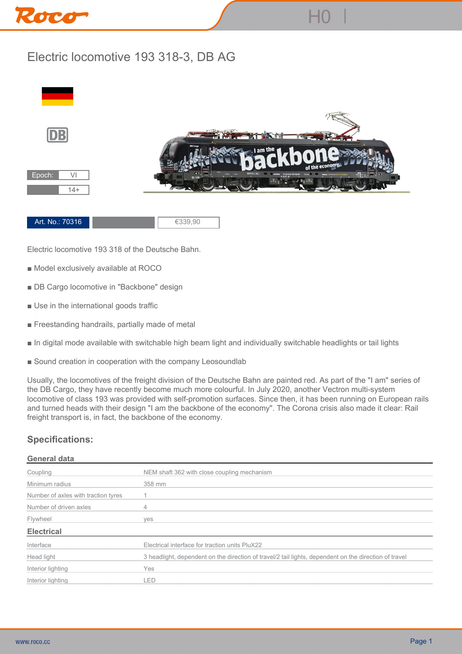

## **Electric locomotive 193 318-3, DB AG**



**Electric locomotive 193 318 of the Deutsche Bahn.**

- **Model exclusively available at ROCO**
- **DB Cargo locomotive in "Backbone" design**
- **Use in the international goods traffic**
- **Freestanding handrails, partially made of metal**
- **In digital mode available with switchable high beam light and individually switchable headlights or tail lights**
- Sound creation in cooperation with the company Leosoundlab

**Usually, the locomotives of the freight division of the Deutsche Bahn are painted red. As part of the "I am" series of the DB Cargo, they have recently become much more colourful. In July 2020, another Vectron multi-system locomotive of class 193 was provided with self-promotion surfaces. Since then, it has been running on European rails and turned heads with their design "I am the backbone of the economy". The Corona crisis also made it clear: Rail freight transport is, in fact, the backbone of the economy.**

## **Specifications:**

## **General data**

| Coupling                            | NEM shaft 362 with close coupling mechanism                                                           |
|-------------------------------------|-------------------------------------------------------------------------------------------------------|
| Minimum radius                      | 358 mm                                                                                                |
| Number of axles with traction tyres |                                                                                                       |
| Number of driven axles              |                                                                                                       |
| Flywheel                            | ves                                                                                                   |
| <b>Electrical</b>                   |                                                                                                       |
| Interface                           | Electrical interface for traction units PluX22                                                        |
| Head light                          | 3 headlight, dependent on the direction of travel/2 tail lights, dependent on the direction of travel |
| Interior lighting                   | Yes                                                                                                   |
| Interior lighting                   | _ED                                                                                                   |